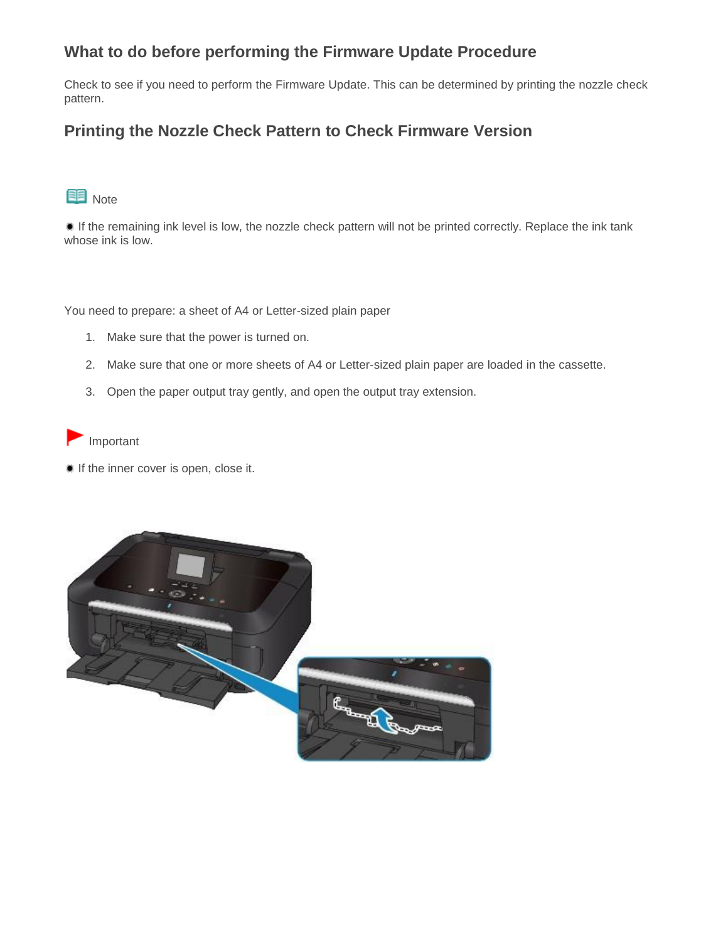## **What to do before performing the Firmware Update Procedure**

Check to see if you need to perform the Firmware Update. This can be determined by printing the nozzle check pattern.

## **Printing the Nozzle Check Pattern to Check Firmware Version**



If the remaining ink level is low, the nozzle check pattern will not be printed correctly. Replace the ink tank whose ink is low.

You need to prepare: a sheet of A4 or Letter-sized plain paper

- 1. Make sure that the power is turned on.
- 2. Make sure that one or more sheets of A4 or Letter-sized plain paper are loaded in the cassette.
- 3. Open the paper output tray gently, and open the output tray extension.

Important

If the inner cover is open, close it.

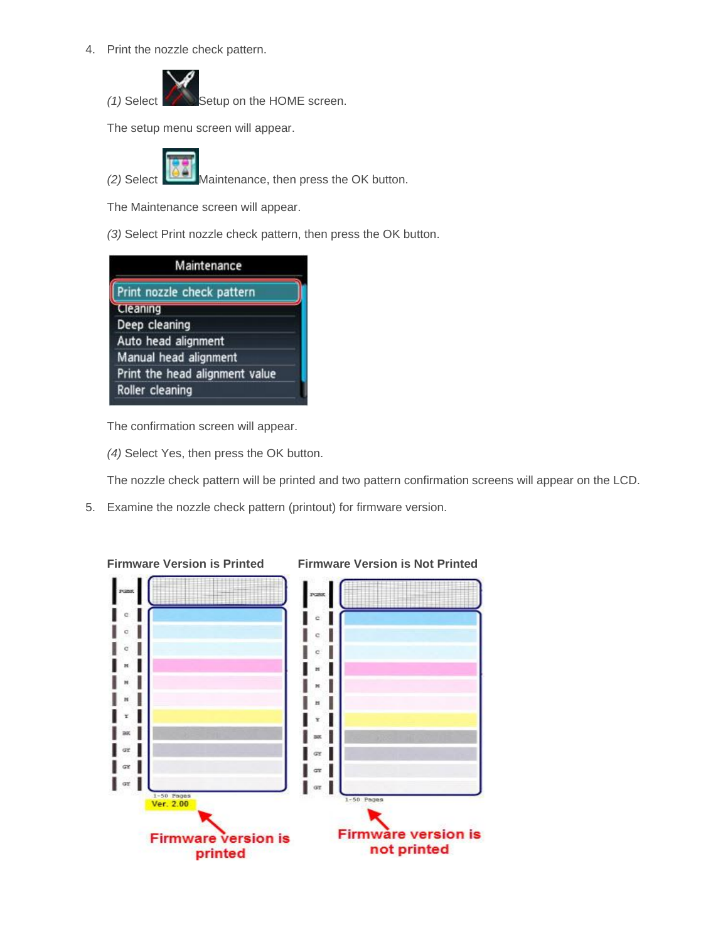4. Print the nozzle check pattern.



*(1)* Select Setup on the HOME screen.

The setup menu screen will appear.



*(2)* Select Maintenance, then press the OK button.

The Maintenance screen will appear.

*(3)* Select Print nozzle check pattern, then press the OK button.

| Maintenance                    |  |
|--------------------------------|--|
| Print nozzle check pattern     |  |
| Cleaning                       |  |
| Deep cleaning                  |  |
| Auto head alignment            |  |
| Manual head alignment          |  |
| Print the head alignment value |  |
| Roller cleaning                |  |

The confirmation screen will appear.

*(4)* Select Yes, then press the OK button.

The nozzle check pattern will be printed and two pattern confirmation screens will appear on the LCD.

5. Examine the nozzle check pattern (printout) for firmware version.



## **Firmware Version is Printed Firmware Version is Not Printed**